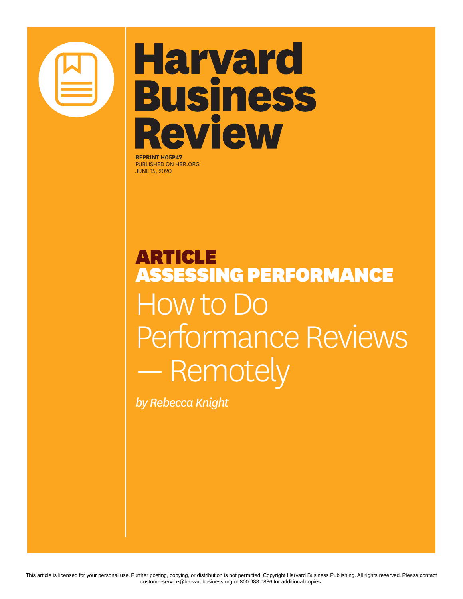

# **Harvard Business Review**

**REPRINT H05P47** PUBLISHED ON HBR.ORG JUNE 15, 2020

# ARTICLE ASSESSING PERFORMANCE How to Do Performance Reviews — Remotely

*by Rebecca Knight*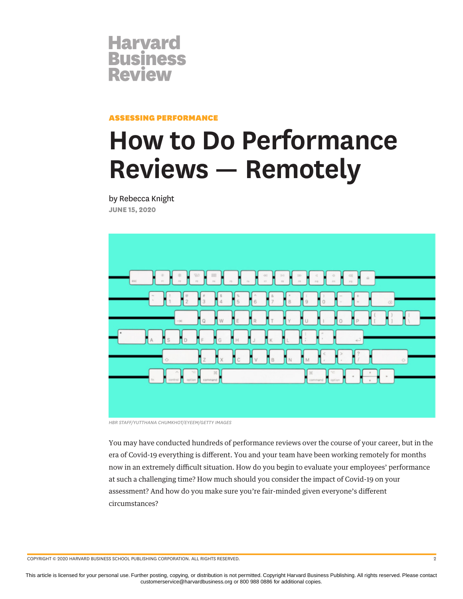

ASSESSING PERFORMANCE

# **How to Do Performance Reviews — Remotely**

by Rebecca Knight **JUNE 15, 2020**



*HBR STAFF/YUTTHANA CHUMKHOT/EYEEM/GETTY IMAGES*

You may have conducted hundreds of performance reviews over the course of your career, but in the era of Covid-19 everything is different. You and your team have been working remotely for months now in an extremely difficult situation. How do you begin to evaluate your employees' performance at such a challenging time? How much should you consider the impact of Covid-19 on your assessment? And how do you make sure you're fair-minded given everyone's different circumstances?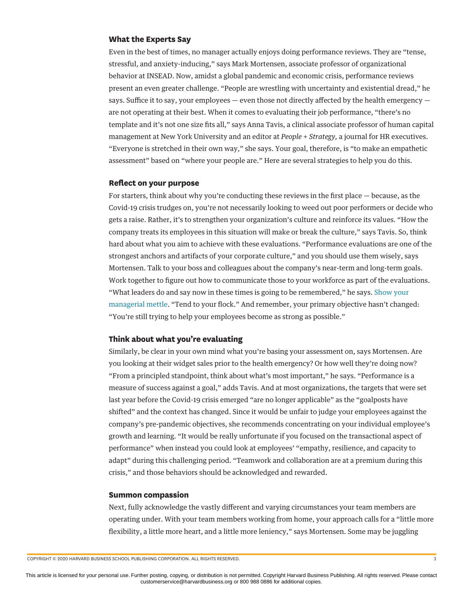#### **What the Experts Say**

Even in the best of times, no manager actually enjoys doing performance reviews. They are "tense, stressful, and anxiety-inducing," says Mark Mortensen, associate professor of organizational behavior at INSEAD. Now, amidst a global pandemic and economic crisis, performance reviews present an even greater challenge. "People are wrestling with uncertainty and existential dread," he says. Suffice it to say, your employees  $-$  even those not directly affected by the health emergency  $$ are not operating at their best. When it comes to evaluating their job performance, "there's no template and it's not one size fits all," says Anna Tavis, a clinical associate professor of human capital management at New York University and an editor at *People + Strategy,* a journal for HR executives. "Everyone is stretched in their own way," she says. Your goal, therefore, is "to make an empathetic assessment" based on "where your people are." Here are several strategies to help you do this.

#### **Reflect on your purpose**

For starters, think about why you're conducting these reviews in the first place — because, as the Covid-19 crisis trudges on, you're not necessarily looking to weed out poor performers or decide who gets a raise. Rather, it's to strengthen your organization's culture and reinforce its values. "How the company treats its employees in this situation will make or break the culture," says Tavis. So, think hard about what you aim to achieve with these evaluations. "Performance evaluations are one of the strongest anchors and artifacts of your corporate culture," and you should use them wisely, says Mortensen. Talk to your boss and colleagues about the company's near-term and long-term goals. Work together to figure out how to communicate those to your workforce as part of the evaluations. "What leaders do and say now in these times is going to be remembered," he says. [Show your](https://hbr.org/2020/04/how-to-handle-the-pressure-of-being-a-manager-right-now) [managerial mettle.](https://hbr.org/2020/04/how-to-handle-the-pressure-of-being-a-manager-right-now) "Tend to your flock." And remember, your primary objective hasn't changed: "You're still trying to help your employees become as strong as possible."

#### **Think about what you're evaluating**

Similarly, be clear in your own mind what you're basing your assessment on, says Mortensen. Are you looking at their widget sales prior to the health emergency? Or how well they're doing now? "From a principled standpoint, think about what's most important," he says. "Performance is a measure of success against a goal," adds Tavis. And at most organizations, the targets that were set last year before the Covid-19 crisis emerged "are no longer applicable" as the "goalposts have shifted" and the context has changed. Since it would be unfair to judge your employees against the company's pre-pandemic objectives, she recommends concentrating on your individual employee's growth and learning. "It would be really unfortunate if you focused on the transactional aspect of performance" when instead you could look at employees' "empathy, resilience, and capacity to adapt" during this challenging period. "Teamwork and collaboration are at a premium during this crisis," and those behaviors should be acknowledged and rewarded.

#### **Summon compassion**

Next, fully acknowledge the vastly different and varying circumstances your team members are operating under. With your team members working from home, your approach calls for a "little more flexibility, a little more heart, and a little more leniency," says Mortensen. Some may be juggling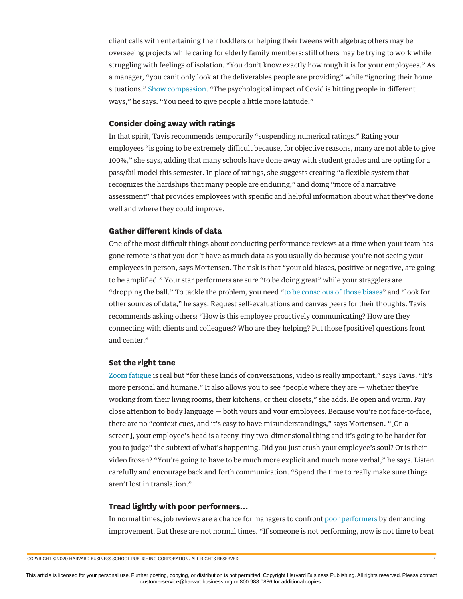client calls with entertaining their toddlers or helping their tweens with algebra; others may be overseeing projects while caring for elderly family members; still others may be trying to work while struggling with feelings of isolation. "You don't know exactly how rough it is for your employees." As a manager, "you can't only look at the deliverables people are providing" while "ignoring their home situations." [Show compassion.](https://hbr.org/2020/03/what-your-coworkers-need-right-now-is-compassion) "The psychological impact of Covid is hitting people in different ways," he says. "You need to give people a little more latitude."

#### **Consider doing away with ratings**

In that spirit, Tavis recommends temporarily "suspending numerical ratings." Rating your employees "is going to be extremely difficult because, for objective reasons, many are not able to give 100%," she says, adding that many schools have done away with student grades and are opting for a pass/fail model this semester. In place of ratings, she suggests creating "a flexible system that recognizes the hardships that many people are enduring," and doing "more of a narrative assessment" that provides employees with specific and helpful information about what they've done well and where they could improve.

### **Gather different kinds of data**

One of the most difficult things about conducting performance reviews at a time when your team has gone remote is that you don't have as much data as you usually do because you're not seeing your employees in person, says Mortensen. The risk is that "your old biases, positive or negative, are going to be amplified." Your star performers are sure "to be doing great" while your stragglers are "dropping the ball." To tackle the problem, you need "[to be conscious of those biases"](https://hbr.org/2019/01/why-most-performance-evaluations-are-biased-and-how-to-fix-them) and "look for other sources of data," he says. Request self-evaluations and canvas peers for their thoughts. Tavis recommends asking others: "How is this employee proactively communicating? How are they connecting with clients and colleagues? Who are they helping? Put those [positive] questions front and center."

#### **Set the right tone**

[Zoom fatigue](https://hbr.org/2020/04/how-to-combat-zoom-fatigue) is real but "for these kinds of conversations, video is really important," says Tavis. "It's more personal and humane." It also allows you to see "people where they are — whether they're working from their living rooms, their kitchens, or their closets," she adds. Be open and warm. Pay close attention to body language — both yours and your employees. Because you're not face-to-face, there are no "context cues, and it's easy to have misunderstandings," says Mortensen. "[On a screen], your employee's head is a teeny-tiny two-dimensional thing and it's going to be harder for you to judge" the subtext of what's happening. Did you just crush your employee's soul? Or is their video frozen? "You're going to have to be much more explicit and much more verbal," he says. Listen carefully and encourage back and forth communication. "Spend the time to really make sure things aren't lost in translation."

#### **Tread lightly with poor performers…**

In normal times, job reviews are a chance for managers to confront [poor performers](https://hbr.org/2020/05/how-to-manage-an-employee-whos-struggling-to-work-remotely) by demanding improvement. But these are not normal times. "If someone is not performing, now is not time to beat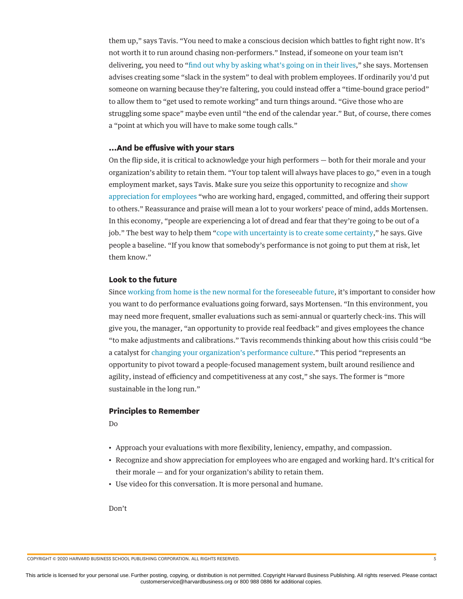them up," says Tavis. "You need to make a conscious decision which battles to fight right now. It's not worth it to run around chasing non-performers." Instead, if someone on your team isn't delivering, you need to ["find out why by asking what's going on in their lives,](https://hbr.org/2020/04/empathy-starts-with-curiosity)" she says. Mortensen advises creating some "slack in the system" to deal with problem employees. If ordinarily you'd put someone on warning because they're faltering, you could instead offer a "time-bound grace period" to allow them to "get used to remote working" and turn things around. "Give those who are struggling some space" maybe even until "the end of the calendar year." But, of course, there comes a "point at which you will have to make some tough calls."

## **…And be effusive with your stars**

On the flip side, it is critical to acknowledge your high performers — both for their morale and your organization's ability to retain them. "Your top talent will always have places to go," even in a tough employment market, says Tavis. Make sure you seize this opportunity to recognize and [show](https://hbr.org/2020/05/in-times-of-crisis-a-little-thanks-goes-a-long-way) [appreciation for employees](https://hbr.org/2020/05/in-times-of-crisis-a-little-thanks-goes-a-long-way) "who are working hard, engaged, committed, and offering their support to others." Reassurance and praise will mean a lot to your workers' peace of mind, adds Mortensen. In this economy, "people are experiencing a lot of dread and fear that they're going to be out of a job." The best way to help them ["cope with uncertainty is to create some certainty,](https://hbr.org/2020/04/how-to-talk-to-your-team-when-the-future-is-uncertain)" he says. Give people a baseline. "If you know that somebody's performance is not going to put them at risk, let them know."

### **Look to the future**

Since [working from home is the new normal for the foreseeable future](https://hbr.org/podcast/2020/04/working-from-home-and-company-culture), it's important to consider how you want to do performance evaluations going forward, says Mortensen. "In this environment, you may need more frequent, smaller evaluations such as semi-annual or quarterly check-ins. This will give you, the manager, "an opportunity to provide real feedback" and gives employees the chance "to make adjustments and calibrations." Tavis recommends thinking about how this crisis could "be a catalyst for [changing your organization's performance culture](https://hbr.org/2016/10/the-performance-management-revolution)." This period "represents an opportunity to pivot toward a people-focused management system, built around resilience and agility, instead of efficiency and competitiveness at any cost," she says. The former is "more sustainable in the long run."

#### **Principles to Remember**

Do

- Approach your evaluations with more flexibility, leniency, empathy, and compassion.
- Recognize and show appreciation for employees who are engaged and working hard. It's critical for their morale — and for your organization's ability to retain them.
- Use video for this conversation. It is more personal and humane.

Don't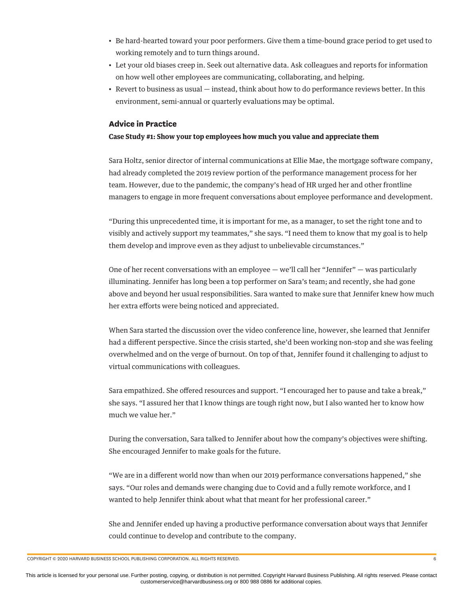- Be hard-hearted toward your poor performers. Give them a time-bound grace period to get used to working remotely and to turn things around.
- Let your old biases creep in. Seek out alternative data. Ask colleagues and reports for information on how well other employees are communicating, collaborating, and helping.
- Revert to business as usual instead, think about how to do performance reviews better. In this environment, semi-annual or quarterly evaluations may be optimal.

#### **Advice in Practice**

#### **Case Study #1: Show your top employees how much you value and appreciate them**

Sara Holtz, senior director of internal communications at Ellie Mae, the mortgage software company, had already completed the 2019 review portion of the performance management process for her team. However, due to the pandemic, the company's head of HR urged her and other frontline managers to engage in more frequent conversations about employee performance and development.

"During this unprecedented time, it is important for me, as a manager, to set the right tone and to visibly and actively support my teammates," she says. "I need them to know that my goal is to help them develop and improve even as they adjust to unbelievable circumstances."

One of her recent conversations with an employee — we'll call her "Jennifer" — was particularly illuminating. Jennifer has long been a top performer on Sara's team; and recently, she had gone above and beyond her usual responsibilities. Sara wanted to make sure that Jennifer knew how much her extra efforts were being noticed and appreciated.

When Sara started the discussion over the video conference line, however, she learned that Jennifer had a different perspective. Since the crisis started, she'd been working non-stop and she was feeling overwhelmed and on the verge of burnout. On top of that, Jennifer found it challenging to adjust to virtual communications with colleagues.

Sara empathized. She offered resources and support. "I encouraged her to pause and take a break," she says. "I assured her that I know things are tough right now, but I also wanted her to know how much we value her."

During the conversation, Sara talked to Jennifer about how the company's objectives were shifting. She encouraged Jennifer to make goals for the future.

"We are in a different world now than when our 2019 performance conversations happened," she says. "Our roles and demands were changing due to Covid and a fully remote workforce, and I wanted to help Jennifer think about what that meant for her professional career."

She and Jennifer ended up having a productive performance conversation about ways that Jennifer could continue to develop and contribute to the company.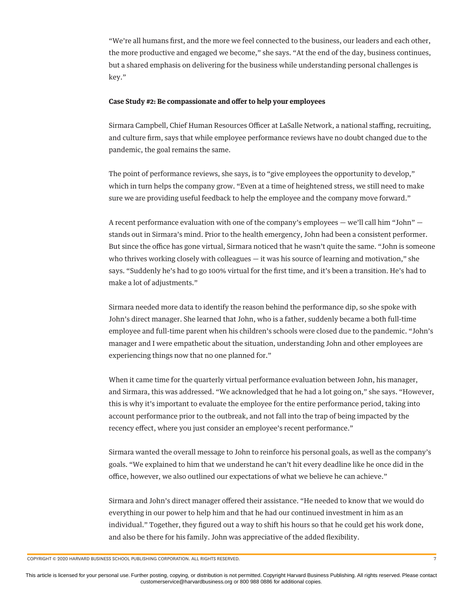"We're all humans first, and the more we feel connected to the business, our leaders and each other, the more productive and engaged we become," she says. "At the end of the day, business continues, but a shared emphasis on delivering for the business while understanding personal challenges is key."

#### Case Study #2: Be compassionate and offer to help your employees

Sirmara Campbell, Chief Human Resources Officer at LaSalle Network, a national staffing, recruiting, and culture firm, says that while employee performance reviews have no doubt changed due to the pandemic, the goal remains the same.

The point of performance reviews, she says, is to "give employees the opportunity to develop," which in turn helps the company grow. "Even at a time of heightened stress, we still need to make sure we are providing useful feedback to help the employee and the company move forward."

A recent performance evaluation with one of the company's employees  $-$  we'll call him "John"  $$ stands out in Sirmara's mind. Prior to the health emergency, John had been a consistent performer. But since the office has gone virtual, Sirmara noticed that he wasn't quite the same. "John is someone who thrives working closely with colleagues — it was his source of learning and motivation," she says. "Suddenly he's had to go 100% virtual for the first time, and it's been a transition. He's had to make a lot of adjustments."

Sirmara needed more data to identify the reason behind the performance dip, so she spoke with John's direct manager. She learned that John, who is a father, suddenly became a both full-time employee and full-time parent when his children's schools were closed due to the pandemic. "John's manager and I were empathetic about the situation, understanding John and other employees are experiencing things now that no one planned for."

When it came time for the quarterly virtual performance evaluation between John, his manager, and Sirmara, this was addressed. "We acknowledged that he had a lot going on," she says. "However, this is why it's important to evaluate the employee for the entire performance period, taking into account performance prior to the outbreak, and not fall into the trap of being impacted by the recency effect, where you just consider an employee's recent performance."

Sirmara wanted the overall message to John to reinforce his personal goals, as well as the company's goals. "We explained to him that we understand he can't hit every deadline like he once did in the office, however, we also outlined our expectations of what we believe he can achieve."

Sirmara and John's direct manager offered their assistance. "He needed to know that we would do everything in our power to help him and that he had our continued investment in him as an individual." Together, they figured out a way to shift his hours so that he could get his work done, and also be there for his family. John was appreciative of the added flexibility.